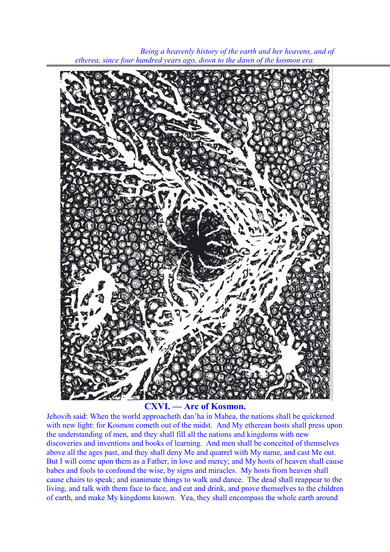

 *Being a heavenly history of the earth and her heavens, and of etherea, since four hundred years ago, down to the dawn of the kosmon era.*

## **CXVI. — Arc of Kosmon.**

Jehovih said: When the world approacheth dan'ha in Mabea, the nations shall be quickened with new light: for Kosmon cometh out of the midst. And My etherean hosts shall press upon the understanding of men, and they shall fill all the nations and kingdoms with new discoveries and inventions and books of learning. And men shall be conceited of themselves above all the ages past, and they shall deny Me and quarrel with My name, and cast Me out. But I will come upon them as a Father, in love and mercy; and My hosts of heaven shall cause babes and fools to confound the wise, by signs and miracles. My hosts from heaven shall cause chairs to speak; and inanimate things to walk and dance. The dead shall reappear to the living, and talk with them face to face, and eat and drink, and prove themselves to the children of earth, and make My kingdoms known. Yea, they shall encompass the whole earth around